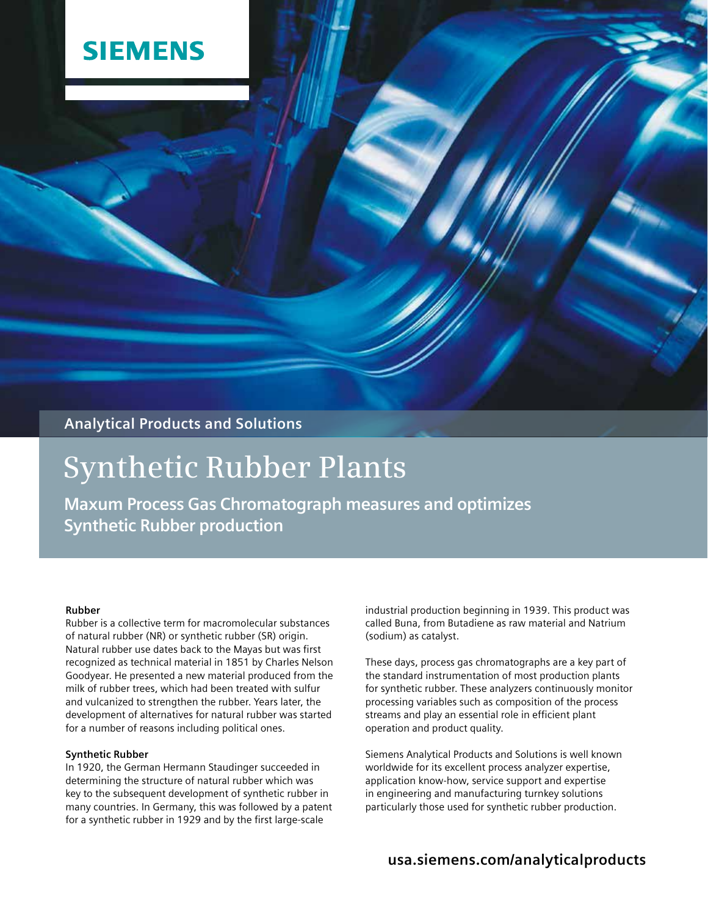## **SIEMENS**

## **Analytical Products and Solutions**

# **Synthetic Rubber Plants**

**Maxum Process Gas Chromatograph measures and optimizes Synthetic Rubber production**

#### **Rubber**

Rubber is a collective term for macromolecular substances of natural rubber (NR) or synthetic rubber (SR) origin. Natural rubber use dates back to the Mayas but was first recognized as technical material in 1851 by Charles Nelson Goodyear. He presented a new material produced from the milk of rubber trees, which had been treated with sulfur and vulcanized to strengthen the rubber. Years later, the development of alternatives for natural rubber was started for a number of reasons including political ones.

#### **Synthetic Rubber**

In 1920, the German Hermann Staudinger succeeded in determining the structure of natural rubber which was key to the subsequent development of synthetic rubber in many countries. In Germany, this was followed by a patent for a synthetic rubber in 1929 and by the first large-scale

industrial production beginning in 1939. This product was called Buna, from Butadiene as raw material and Natrium (sodium) as catalyst.

These days, process gas chromatographs are a key part of the standard instrumentation of most production plants for synthetic rubber. These analyzers continuously monitor processing variables such as composition of the process streams and play an essential role in efficient plant operation and product quality.

Siemens Analytical Products and Solutions is well known worldwide for its excellent process analyzer expertise, application know-how, service support and expertise in engineering and manufacturing turnkey solutions particularly those used for synthetic rubber production.

### **usa.siemens.com/analyticalproducts**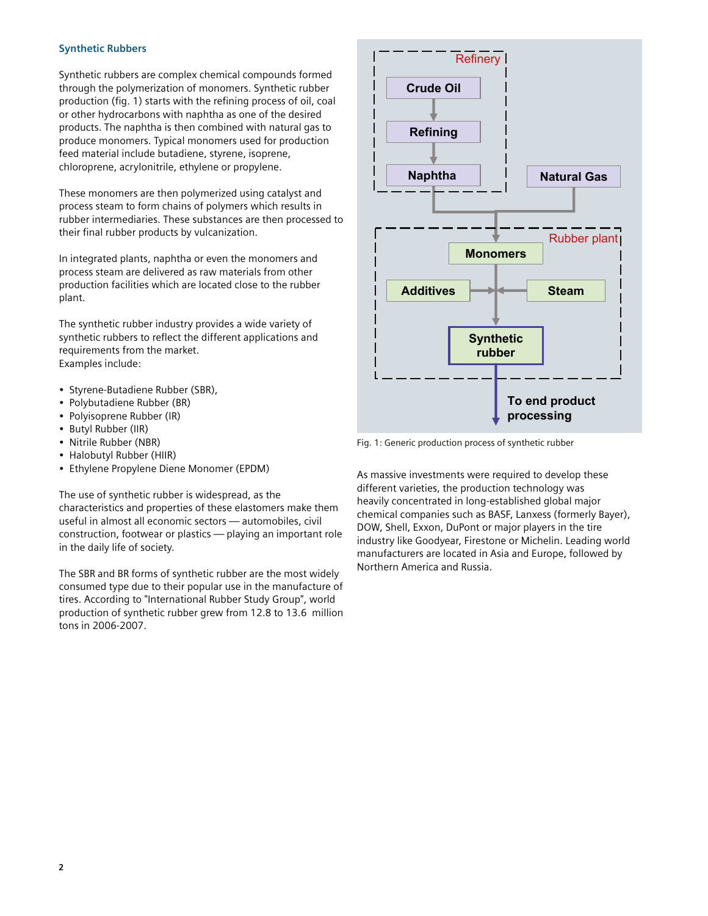#### **Synthetic Rubbers**

Synthetic rubbers are complex chemical compounds formed through the polymerization of monomers. Synthetic rubber production (fig. 1) starts with the refining process of oil, coal or other hydrocarbons with naphtha as one of the desired products. The naphtha is then combined with natural gas to produce monomers. Typical monomers used for production feed material include butadiene, styrene, isoprene, chloroprene, acrylonitrile, ethylene or propylene.

These monomers are then polymerized using catalyst and process steam to form chains of polymers which results in rubber intermediaries. These substances are then processed to their final rubber products by vulcanization.

In integrated plants, naphtha or even the monomers and process steam are delivered as raw materials from other production facilities which are located close to the rubber plant.

The synthetic rubber industry provides a wide variety of synthetic rubbers to reflect the different applications and requirements from the market. Examples include:

- Styrene-Butadiene Rubber (SBR),
- Polybutadiene Rubber (BR)
- Polyisoprene Rubber (IR)
- Butyl Rubber (IIR)
- Nitrile Rubber (NBR)
- Halobutyl Rubber (HIIR)
- Ethylene Propylene Diene Monomer (EPDM)

The use of synthetic rubber is widespread, as the characteristics and properties of these elastomers make them useful in almost all economic sectors — automobiles, civil construction, footwear or plastics — playing an important role in the daily life of society.

The SBR and BR forms of synthetic rubber are the most widely consumed type due to their popular use in the manufacture of tires. According to "International Rubber Study Group", world production of synthetic rubber grew from 12.8 to 13.6 million tons in 2006-2007.



Fig. 1: Generic production process of synthetic rubber

As massive investments were required to develop these different varieties, the production technology was heavily concentrated in long-established global major chemical companies such as BASF, Lanxess (formerly Bayer), DOW, Shell, Exxon, DuPont or major players in the tire industry like Goodyear, Firestone or Michelin. Leading world manufacturers are located in Asia and Europe, followed by Northern America and Russia.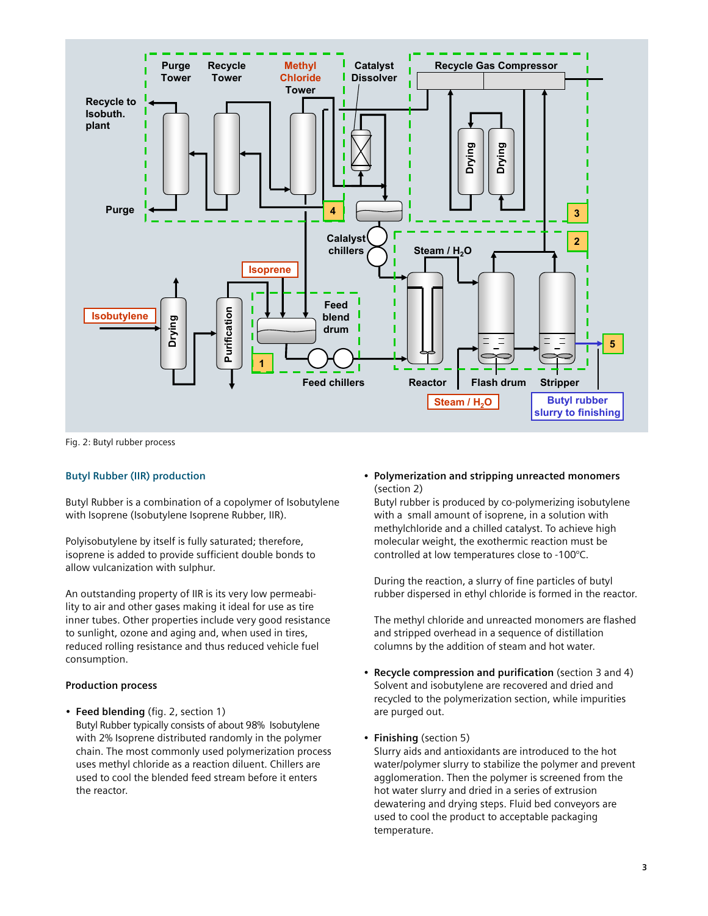

Fig. 2: Butyl rubber process

#### **Butyl Rubber (IIR) production**

Butyl Rubber is a combination of a copolymer of Isobutylene with Isoprene (Isobutylene Isoprene Rubber, IIR).

Polyisobutylene by itself is fully saturated; therefore, isoprene is added to provide sufficient double bonds to allow vulcanization with sulphur.

An outstanding property of IIR is its very low permeability to air and other gases making it ideal for use as tire inner tubes. Other properties include very good resistance to sunlight, ozone and aging and, when used in tires, reduced rolling resistance and thus reduced vehicle fuel consumption.

#### **Production process**

• **Feed blending** (fig. 2, section 1) Butyl Rubber typically consists of about 98% Isobutylene with 2% Isoprene distributed randomly in the polymer chain. The most commonly used polymerization process uses methyl chloride as a reaction diluent. Chillers are used to cool the blended feed stream before it enters the reactor.

• **Polymerization and stripping unreacted monomers** (section 2)

Butyl rubber is produced by co-polymerizing isobutylene with a small amount of isoprene, in a solution with methylchloride and a chilled catalyst. To achieve high molecular weight, the exothermic reaction must be controlled at low temperatures close to -100°C.

During the reaction, a slurry of fine particles of butyl rubber dispersed in ethyl chloride is formed in the reactor.

The methyl chloride and unreacted monomers are flashed and stripped overhead in a sequence of distillation columns by the addition of steam and hot water.

- **Recycle compression and purification** (section 3 and 4) Solvent and isobutylene are recovered and dried and recycled to the polymerization section, while impurities are purged out.
- **Finishing** (section 5)

Slurry aids and antioxidants are introduced to the hot water/polymer slurry to stabilize the polymer and prevent agglomeration. Then the polymer is screened from the hot water slurry and dried in a series of extrusion dewatering and drying steps. Fluid bed conveyors are used to cool the product to acceptable packaging temperature.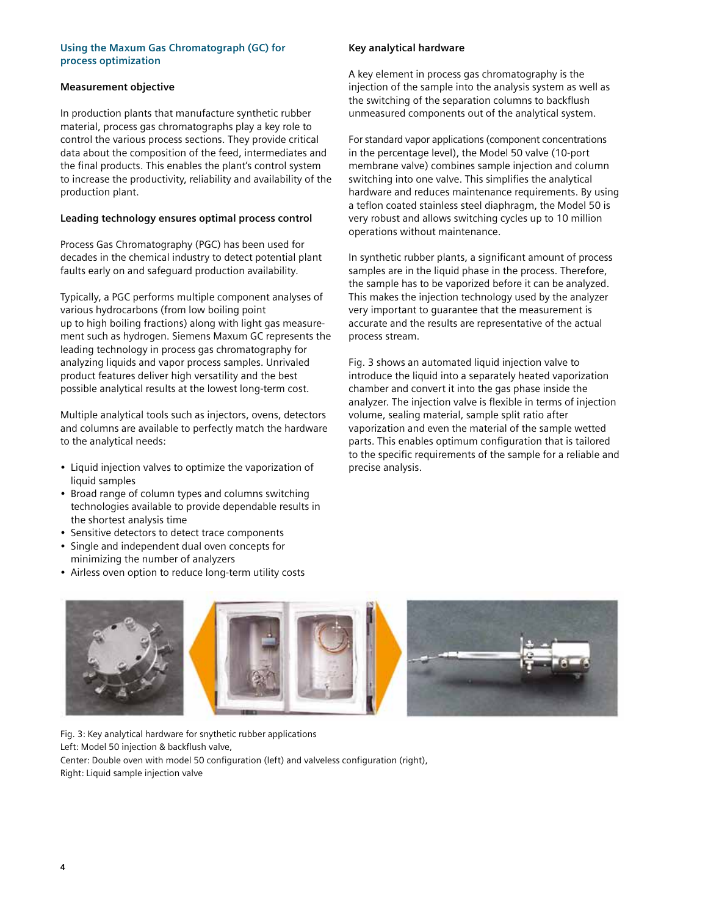#### **Using the Maxum Gas Chromatograph (GC) for process optimization**

#### **Measurement objective**

In production plants that manufacture synthetic rubber material, process gas chromatographs play a key role to control the various process sections. They provide critical data about the composition of the feed, intermediates and the final products. This enables the plant's control system to increase the productivity, reliability and availability of the production plant.

#### **Leading technology ensures optimal process control**

Process Gas Chromatography (PGC) has been used for decades in the chemical industry to detect potential plant faults early on and safeguard production availability.

Typically, a PGC performs multiple component analyses of various hydrocarbons (from low boiling point up to high boiling fractions) along with light gas measurement such as hydrogen. Siemens Maxum GC represents the leading technology in process gas chromatography for analyzing liquids and vapor process samples. Unrivaled product features deliver high versatility and the best possible analytical results at the lowest long-term cost.

Multiple analytical tools such as injectors, ovens, detectors and columns are available to perfectly match the hardware to the analytical needs:

- Liquid injection valves to optimize the vaporization of liquid samples
- Broad range of column types and columns switching technologies available to provide dependable results in the shortest analysis time
- Sensitive detectors to detect trace components
- Single and independent dual oven concepts for minimizing the number of analyzers
- Airless oven option to reduce long-term utility costs

#### **Key analytical hardware**

A key element in process gas chromatography is the injection of the sample into the analysis system as well as the switching of the separation columns to backflush unmeasured components out of the analytical system.

For standard vapor applications (component concentrations in the percentage level), the Model 50 valve (10-port membrane valve) combines sample injection and column switching into one valve. This simplifies the analytical hardware and reduces maintenance requirements. By using a teflon coated stainless steel diaphragm, the Model 50 is very robust and allows switching cycles up to 10 million operations without maintenance.

In synthetic rubber plants, a significant amount of process samples are in the liquid phase in the process. Therefore, the sample has to be vaporized before it can be analyzed. This makes the injection technology used by the analyzer very important to guarantee that the measurement is accurate and the results are representative of the actual process stream.

Fig. 3 shows an automated liquid injection valve to introduce the liquid into a separately heated vaporization chamber and convert it into the gas phase inside the analyzer. The injection valve is flexible in terms of injection volume, sealing material, sample split ratio after vaporization and even the material of the sample wetted parts. This enables optimum configuration that is tailored to the specific requirements of the sample for a reliable and precise analysis.



Fig. 3: Key analytical hardware for snythetic rubber applications Left: Model 50 injection & backflush valve, Center: Double oven with model 50 configuration (left) and valveless configuration (right), Right: Liquid sample injection valve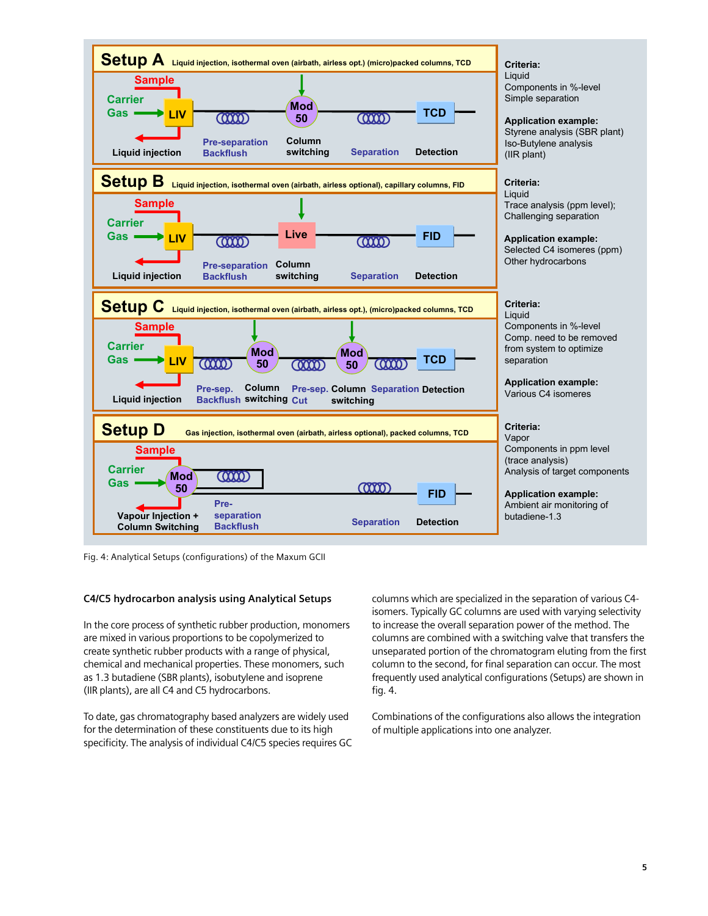

Fig. 4: Analytical Setups (configurations) of the Maxum GCII

#### **C4/C5 hydrocarbon analysis using Analytical Setups**

In the core process of synthetic rubber production, monomers are mixed in various proportions to be copolymerized to create synthetic rubber products with a range of physical, chemical and mechanical properties. These monomers, such as 1.3 butadiene (SBR plants), isobutylene and isoprene (IIR plants), are all C4 and C5 hydrocarbons.

To date, gas chromatography based analyzers are widely used for the determination of these constituents due to its high specificity. The analysis of individual C4/C5 species requires GC columns which are specialized in the separation of various C4 isomers. Typically GC columns are used with varying selectivity to increase the overall separation power of the method. The columns are combined with a switching valve that transfers the unseparated portion of the chromatogram eluting from the first column to the second, for final separation can occur. The most frequently used analytical configurations (Setups) are shown in fig. 4.

Combinations of the configurations also allows the integration of multiple applications into one analyzer.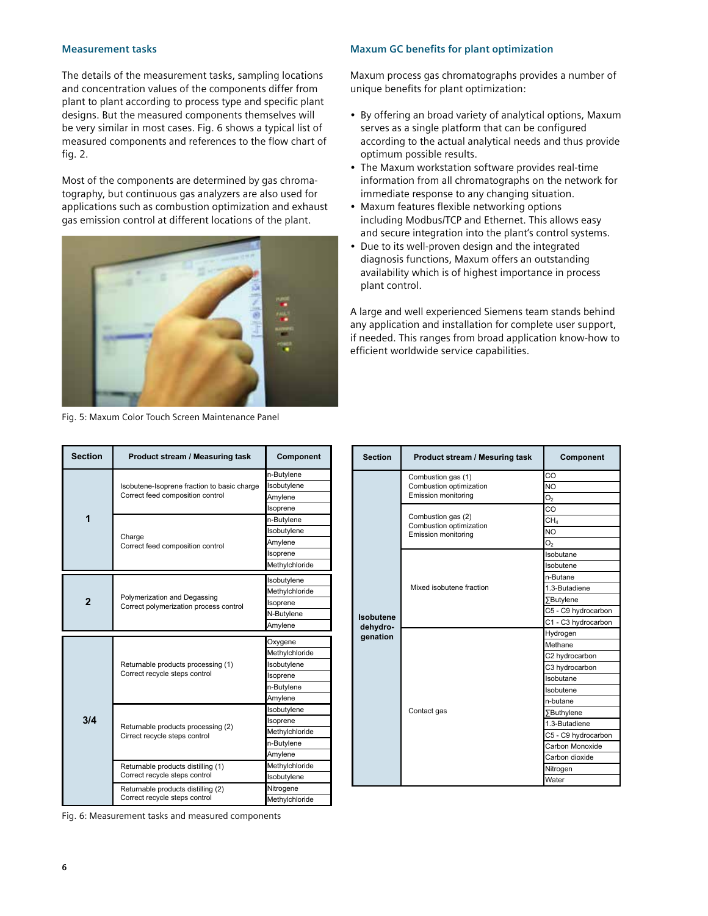#### **Measurement tasks**

The details of the measurement tasks, sampling locations and concentration values of the components differ from plant to plant according to process type and specific plant designs. But the measured components themselves will be very similar in most cases. Fig. 6 shows a typical list of measured components and references to the flow chart of fig. 2.

Most of the components are determined by gas chromatography, but continuous gas analyzers are also used for applications such as combustion optimization and exhaust gas emission control at different locations of the plant.



Fig. 5: Maxum Color Touch Screen Maintenance Panel

#### **Maxum GC benefits for plant optimization**

Maxum process gas chromatographs provides a number of unique benefits for plant optimization:

- By offering an broad variety of analytical options, Maxum serves as a single platform that can be configured according to the actual analytical needs and thus provide optimum possible results.
- The Maxum workstation software provides real-time information from all chromatographs on the network for immediate response to any changing situation.
- Maxum features flexible networking options including Modbus/TCP and Ethernet. This allows easy and secure integration into the plant's control systems.
- Due to its well-proven design and the integrated diagnosis functions, Maxum offers an outstanding availability which is of highest importance in process plant control.

A large and well experienced Siemens team stands behind any application and installation for complete user support, if needed. This ranges from broad application know-how to efficient worldwide service capabilities.

| <b>Section</b> | Product stream / Measuring task                                                 | Component      | S(  |
|----------------|---------------------------------------------------------------------------------|----------------|-----|
| 1              | Isobutene-Isoprene fraction to basic charge<br>Correct feed composition control | n-Butylene     |     |
|                |                                                                                 | Isobutylene    |     |
|                |                                                                                 | Amylene        |     |
|                |                                                                                 | Isoprene       |     |
|                | Charge<br>Correct feed composition control                                      | n-Butylene     |     |
|                |                                                                                 | Isobutylene    |     |
|                |                                                                                 | Amylene        |     |
|                |                                                                                 | Isoprene       |     |
|                |                                                                                 | Methylchloride |     |
| $\mathbf{2}$   | Polymerization and Degassing<br>Correct polymerization process control          | Isobutylene    |     |
|                |                                                                                 | Methylchloride |     |
|                |                                                                                 | Isoprene       |     |
|                |                                                                                 | N-Butylene     | lso |
|                |                                                                                 | Amylene        | de  |
|                |                                                                                 |                | ge  |
|                |                                                                                 | Oxygene        |     |
|                |                                                                                 | Methylchloride |     |
|                | Returnable products processing (1)                                              | Isobutylene    |     |
|                | Correct recycle steps control                                                   | Isoprene       |     |
|                |                                                                                 | n-Butylene     |     |
|                |                                                                                 | Amylene        |     |
|                |                                                                                 | Isobutylene    |     |
| 3/4            |                                                                                 | Isoprene       |     |
|                | Returnable products processing (2)                                              | Methylchloride |     |
|                | Cirrect recycle steps control                                                   | n-Butylene     |     |
|                |                                                                                 | Amylene        |     |
|                | Returnable products distilling (1)                                              | Methylchloride |     |
|                | Correct recycle steps control                                                   | Isobutylene    |     |
|                | Returnable products distilling (2)<br>Correct recycle steps control             | Nitrogene      |     |

| <b>Section</b>                    | Product stream / Mesuring task                                       | <b>Component</b>            |
|-----------------------------------|----------------------------------------------------------------------|-----------------------------|
| Isobutene<br>dehydro-<br>genation | Combustion gas (1)<br>Combustion optimization<br>Emission monitoring | CO                          |
|                                   |                                                                      | NO.                         |
|                                   |                                                                      | O <sub>2</sub>              |
|                                   | Combustion gas (2)<br>Combustion optimization<br>Emission monitoring | CO<br>CH <sub>4</sub>       |
|                                   |                                                                      | <b>NO</b>                   |
|                                   |                                                                      | O <sub>2</sub>              |
|                                   | Mixed isobutene fraction                                             | Isobutane                   |
|                                   |                                                                      | Isobutene                   |
|                                   |                                                                      | n-Butane                    |
|                                   |                                                                      | 1.3-Butadiene               |
|                                   |                                                                      | <b>∑Butylene</b>            |
|                                   |                                                                      | C5 - C9 hydrocarbon         |
|                                   |                                                                      | C1 - C3 hydrocarbon         |
|                                   | Contact gas                                                          | Hydrogen                    |
|                                   |                                                                      | Methane                     |
|                                   |                                                                      | C2 hydrocarbon              |
|                                   |                                                                      | C3 hydrocarbon              |
|                                   |                                                                      | Isobutane                   |
|                                   |                                                                      | Isobutene                   |
|                                   |                                                                      | n-butane                    |
|                                   |                                                                      | ∑Buthylene<br>1.3-Butadiene |
|                                   |                                                                      | C5 - C9 hydrocarbon         |
|                                   |                                                                      | Carbon Monoxide             |
|                                   |                                                                      | Carbon dioxide              |
|                                   |                                                                      | Nitrogen                    |
|                                   |                                                                      | Water                       |

Fig. 6: Measurement tasks and measured components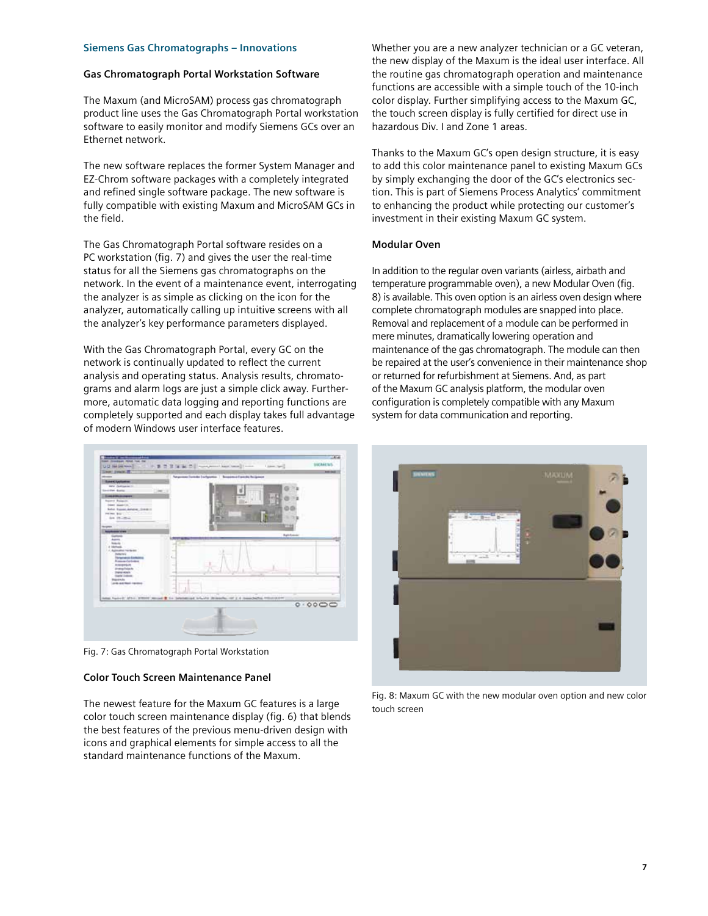#### **Siemens Gas Chromatographs – Innovations**

#### **Gas Chromatograph Portal Workstation Software**

The Maxum (and MicroSAM) process gas chromatograph product line uses the Gas Chromatograph Portal workstation software to easily monitor and modify Siemens GCs over an Ethernet network.

The new software replaces the former System Manager and EZ-Chrom software packages with a completely integrated and refined single software package. The new software is fully compatible with existing Maxum and MicroSAM GCs in the field.

The Gas Chromatograph Portal software resides on a PC workstation (fig. 7) and gives the user the real-time status for all the Siemens gas chromatographs on the network. In the event of a maintenance event, interrogating the analyzer is as simple as clicking on the icon for the analyzer, automatically calling up intuitive screens with all the analyzer's key performance parameters displayed.

With the Gas Chromatograph Portal, every GC on the network is continually updated to reflect the current analysis and operating status. Analysis results, chromatograms and alarm logs are just a simple click away. Furthermore, automatic data logging and reporting functions are completely supported and each display takes full advantage of modern Windows user interface features.



Fig. 7: Gas Chromatograph Portal Workstation

#### **Color Touch Screen Maintenance Panel**

The newest feature for the Maxum GC features is a large color touch screen maintenance display (fig. 6) that blends the best features of the previous menu-driven design with icons and graphical elements for simple access to all the standard maintenance functions of the Maxum.

Whether you are a new analyzer technician or a GC veteran, the new display of the Maxum is the ideal user interface. All the routine gas chromatograph operation and maintenance functions are accessible with a simple touch of the 10-inch color display. Further simplifying access to the Maxum GC, the touch screen display is fully certified for direct use in hazardous Div. I and Zone 1 areas.

Thanks to the Maxum GC's open design structure, it is easy to add this color maintenance panel to existing Maxum GCs by simply exchanging the door of the GC's electronics section. This is part of Siemens Process Analytics' commitment to enhancing the product while protecting our customer's investment in their existing Maxum GC system.

#### **Modular Oven**

In addition to the regular oven variants (airless, airbath and temperature programmable oven), a new Modular Oven (fig. 8) is available. This oven option is an airless oven design where complete chromatograph modules are snapped into place. Removal and replacement of a module can be performed in mere minutes, dramatically lowering operation and maintenance of the gas chromatograph. The module can then be repaired at the user's convenience in their maintenance shop or returned for refurbishment at Siemens. And, as part of the Maxum GC analysis platform, the modular oven configuration is completely compatible with any Maxum system for data communication and reporting.



Fig. 8: Maxum GC with the new modular oven option and new color touch screen